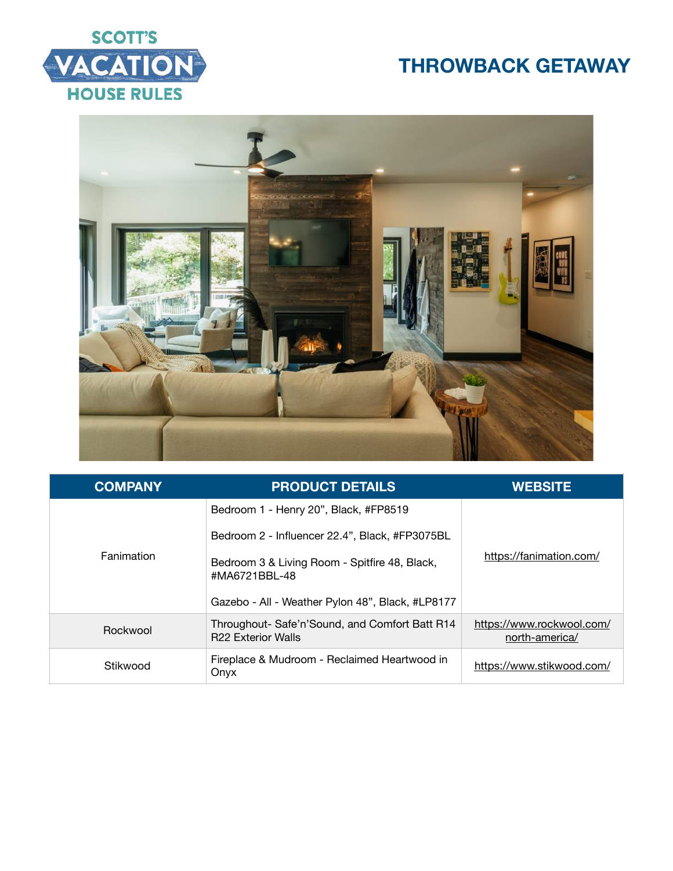



| <b>COMPANY</b> | <b>PRODUCT DETAILS</b>                                                      | <b>WEBSITE</b>                              |
|----------------|-----------------------------------------------------------------------------|---------------------------------------------|
| Fanimation     | Bedroom 1 - Henry 20", Black, #FP8519                                       | https://fanimation.com/                     |
|                | Bedroom 2 - Influencer 22.4", Black, #FP3075BL                              |                                             |
|                | Bedroom 3 & Living Room - Spitfire 48, Black,<br>#MA6721BBL-48              |                                             |
|                | Gazebo - All - Weather Pylon 48", Black, #LP8177                            |                                             |
| Rockwool       | Throughout- Safe'n'Sound, and Comfort Batt R14<br><b>R22 Exterior Walls</b> | https://www.rockwool.com/<br>north-america/ |
| Stikwood       | Fireplace & Mudroom - Reclaimed Heartwood in<br>Onyx                        | https://www.stikwood.com/                   |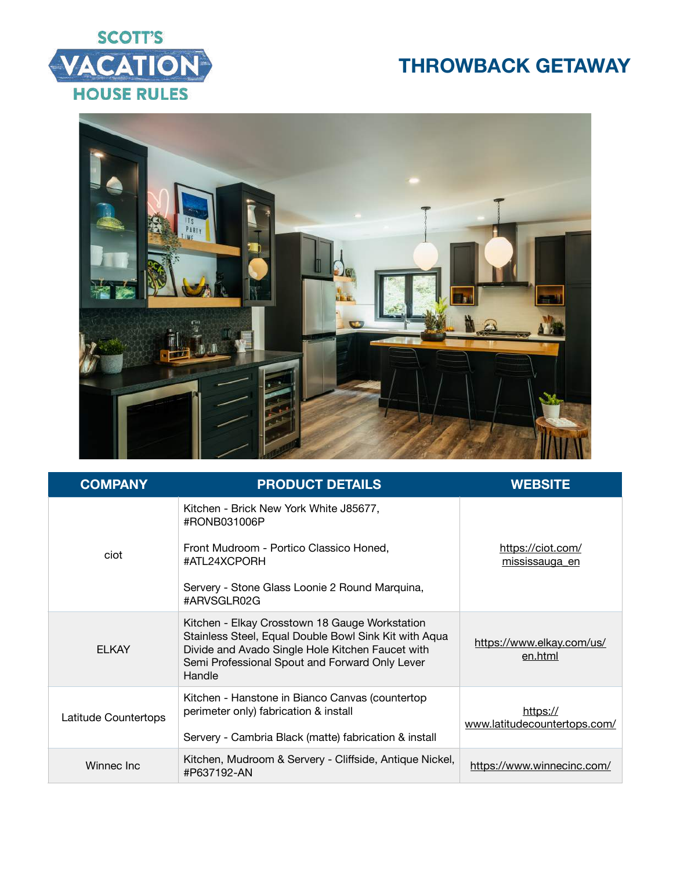



| <b>COMPANY</b>       | <b>PRODUCT DETAILS</b>                                                                                                                                                                                                  | <b>WEBSITE</b>                           |
|----------------------|-------------------------------------------------------------------------------------------------------------------------------------------------------------------------------------------------------------------------|------------------------------------------|
| ciot                 | Kitchen - Brick New York White J85677,<br>#RONB031006P<br>Front Mudroom - Portico Classico Honed,<br>#ATL24XCPORH<br>Servery - Stone Glass Loonie 2 Round Marquina,<br>#ARVSGLR02G                                      | https://ciot.com/<br>mississauga en      |
| <b>ELKAY</b>         | Kitchen - Elkay Crosstown 18 Gauge Workstation<br>Stainless Steel, Equal Double Bowl Sink Kit with Aqua<br>Divide and Avado Single Hole Kitchen Faucet with<br>Semi Professional Spout and Forward Only Lever<br>Handle | https://www.elkay.com/us/<br>en.html     |
| Latitude Countertops | Kitchen - Hanstone in Bianco Canvas (countertop<br>perimeter only) fabrication & install<br>Servery - Cambria Black (matte) fabrication & install                                                                       | https://<br>www.latitudecountertops.com/ |
| Winnec Inc           | Kitchen, Mudroom & Servery - Cliffside, Antique Nickel,<br>#P637192-AN                                                                                                                                                  | https://www.winnecinc.com/               |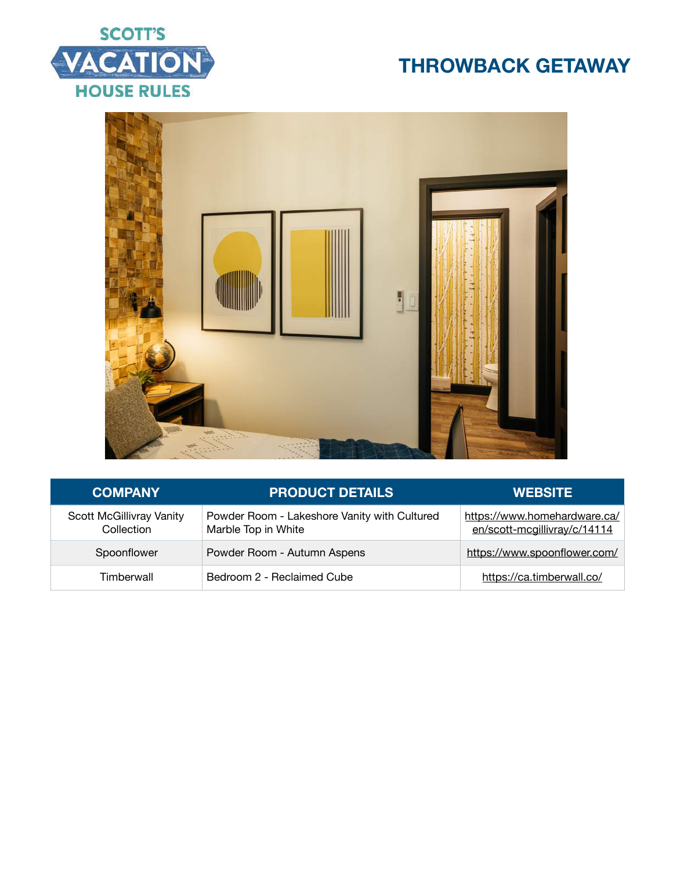



| <b>COMPANY</b>                         | <b>PRODUCT DETAILS</b>                                              | <b>WEBSITE</b>                                               |
|----------------------------------------|---------------------------------------------------------------------|--------------------------------------------------------------|
| Scott McGillivray Vanity<br>Collection | Powder Room - Lakeshore Vanity with Cultured<br>Marble Top in White | https://www.homehardware.ca/<br>en/scott-mcgillivray/c/14114 |
| Spoonflower                            | Powder Room - Autumn Aspens                                         | https://www.spoonflower.com/                                 |
| Timberwall                             | Bedroom 2 - Reclaimed Cube                                          | https://ca.timberwall.co/                                    |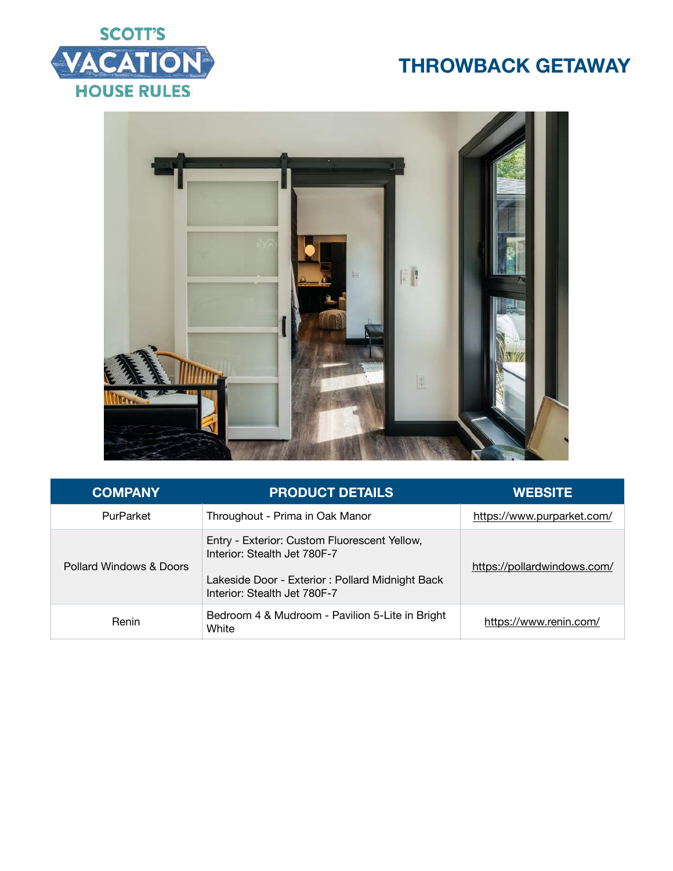



| <b>COMPANY</b>          | <b>PRODUCT DETAILS</b>                                                                                                                                           | <b>WEBSITE</b>              |
|-------------------------|------------------------------------------------------------------------------------------------------------------------------------------------------------------|-----------------------------|
| PurParket               | Throughout - Prima in Oak Manor                                                                                                                                  | https://www.purparket.com/  |
| Pollard Windows & Doors | Entry - Exterior: Custom Fluorescent Yellow,<br>Interior: Stealth Jet 780F-7<br>Lakeside Door - Exterior : Pollard Midnight Back<br>Interior: Stealth Jet 780F-7 | https://pollardwindows.com/ |
| Renin                   | Bedroom 4 & Mudroom - Pavilion 5-Lite in Bright<br>White                                                                                                         | https://www.renin.com/      |